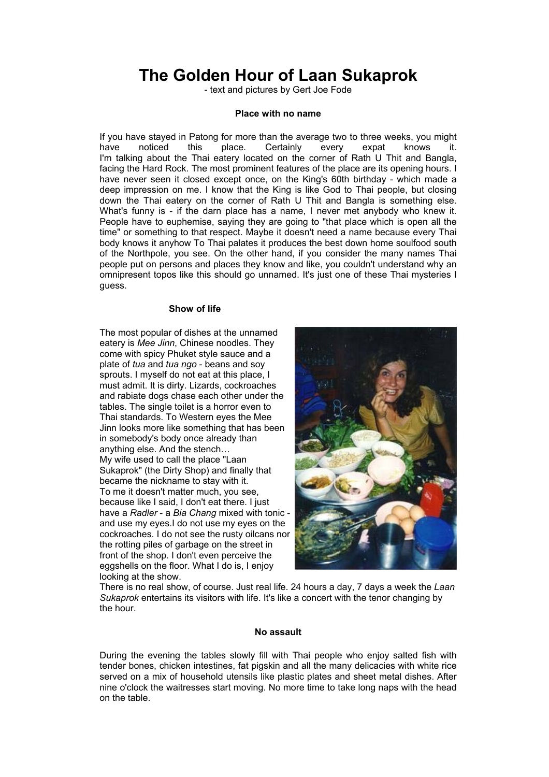# **The Golden Hour of Laan Sukaprok**

- text and pictures by Gert Joe Fode

#### **Place with no name**

If you have stayed in Patong for more than the average two to three weeks, you might have noticed this place. Certainly every expat knows it. I'm talking about the Thai eatery located on the corner of Rath U Thit and Bangla, facing the Hard Rock. The most prominent features of the place are its opening hours. I have never seen it closed except once, on the King's 60th birthday - which made a deep impression on me. I know that the King is like God to Thai people, but closing down the Thai eatery on the corner of Rath U Thit and Bangla is something else. What's funny is - if the darn place has a name, I never met anybody who knew it. People have to euphemise, saying they are going to "that place which is open all the time" or something to that respect. Maybe it doesn't need a name because every Thai body knows it anyhow To Thai palates it produces the best down home soulfood south of the Northpole, you see. On the other hand, if you consider the many names Thai people put on persons and places they know and like, you couldn't understand why an omnipresent topos like this should go unnamed. It's just one of these Thai mysteries I guess.

## **Show of life**

The most popular of dishes at the unnamed eatery is *Mee Jinn*, Chinese noodles. They come with spicy Phuket style sauce and a plate of *tua* and *tua ngo* - beans and soy sprouts. I myself do not eat at this place, I must admit. It is dirty. Lizards, cockroaches and rabiate dogs chase each other under the tables. The single toilet is a horror even to Thai standards. To Western eyes the Mee Jinn looks more like something that has been in somebody's body once already than anything else. And the stench… My wife used to call the place "Laan Sukaprok" (the Dirty Shop) and finally that became the nickname to stay with it. To me it doesn't matter much, you see, because like I said, I don't eat there. I just have a *Radler* - a *Bia Chang* mixed with tonic and use my eyes.I do not use my eyes on th e cockr oaches. I do not see the rusty oilcans nor the rotting piles of garbage on the street in front of the shop. I don't even perceive the eggshells on the floor. What I do is, I enjoy looking at the show.



There is no real show , of course. Just real life. 24 hours a day, 7 days a week the *Laan Sukaprok* entertains its visitors with life. It's like a concert with the tenor changing by the hour.

### **No assault**

During the evening the tables slowly fill with Thai people who enjoy salted fish with on the table. tender bones, chicken intestines, fat pigskin and all the many delicacies with white rice served on a mix of household utensils like plastic plates and sheet metal dishes. After nine o'clock the waitresses start moving. No more time to take long naps with the head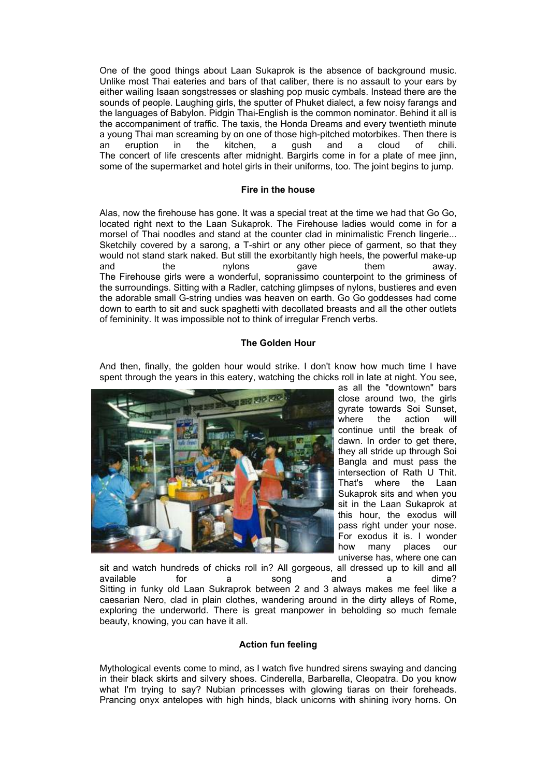One of the good things about Laan Sukaprok is the absence of background music. Unlike most Thai eateries and bars of that caliber, there is no assault to your ears by either wailing Isaan songstresses or slashing pop music cymbals. Instead there are the sounds of people. Laughing girls, the sputter of Phuket dialect, a few noisy farangs and the languages of Babylon. Pidgin Thai-English is the common nominator. Behind it all is the accompaniment of traffic. The taxis, the Honda Dreams and every twentieth minute a young Thai man screaming by on one of those high-pitched motorbikes. Then there is an eruption in the kitchen, a gush and a cloud of chili. The concert of life crescents after midnight. Bargirls come in for a plate of mee jinn, some of the supermarket and hotel girls in their uniforms, too. The joint begins to jump.

# **Fire in the house**

Alas, now the firehouse has gone. It was a special treat at the time we had that Go Go, located right next to the Laan Sukaprok. The Firehouse ladies would come in for a morsel of Thai noodles and stand at the counter clad in minimalistic French lingerie... Sketchily covered by a sarong, a T-shirt or any other piece of garment, so that they would not stand stark naked. But still the exorbitantly high heels, the powerful make-up and the nylons gave them away. The Firehouse girls were a wonderful, sopranissimo counterpoint to the griminess of the surroundings. Sitting with a Radler, catching glimpses of nylons, bustieres and even the adorable small G-string undies was heaven on earth. Go Go goddesses had come down to earth to sit and suck spaghetti with decollated breasts and all the other outlets of femininity. It was impossible not to think of irregular French verbs.

# **The Golden Hour**

And then, finally, the golden hour would strike. I don't know how much time I have spent through the years in this eatery, watching the chicks roll in late at night. You see,



as all the "downtown" bars close around two, the girls gyrate towards Soi Sunset, where the action will continue until the break of dawn. In order to get there, they all stride up through Soi Bangla and must pass the intersection of Rath U Thit. That's where the Laan Sukaprok sits and when you sit in the Laan Sukaprok at this hour, the exodus will pass right under your nose. For exodus it is. I wonder how many places our universe has, where one can

sit and watch hundreds of chicks roll in? All gorgeous, all dressed up to kill and all and a dime? Sitting in funky old Laan Sukraprok between 2 and 3 always makes me feel like a caesarian Nero, clad in plain clothes, wandering around in the dirty alleys of Rome, exploring the underworld. There is great manpower in beholding so much female beauty, knowing, you can have it all. available for a song

### **Action fun feeling**

Mythological events come to mind, as I watch five hundred sirens swaying and dancing in their black skirts and silvery shoes. Cinderella, Barbarella, Cleopatra. Do you know what I'm trying to say? Nubian princesses with glowing tiaras on their foreheads. Prancing onyx antelopes with high hinds, black unicorns with shining ivory horns. On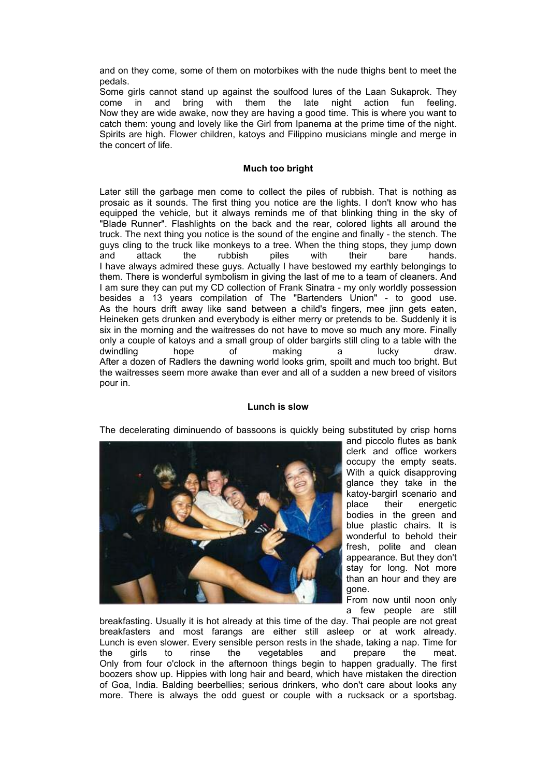and on they come, some of them on motorbikes with the nude thighs bent to meet the pedals.

Some girls cannot stand up against the soulfood lures of the Laan Sukaprok. They come in and bring with them the late night action fun feeling. Now they are wide awake, now they are having a good time. This is where you want to catch the m: young and lovely like the Girl from Ipanema at the prime time of the night. Spirits are high. Flower children, katoys and Filippino musicians mingle and merge in the concert of life.

## **Much too bright**

Later still the garb age men come to collect the piles of rubbish. That is nothing as prosaic as it sounds. The first thing you notice are the lights. I don't know who has equipped the vehicle, but it always reminds me of that blinking thing in the sky of "Blade Runner". Flashlights on the back and the rear, colored lights all around the truck. The next thing you notice is the sound of the engine and finally - the stench. The guys cling to the truck like monkeys to a tree. When the thing stops, they jump down and attack the rubbish piles with their bare hands. I have always admired these guys. Actually I have bestowed my earthly belongings to them. There is wonderful symbolism in giving the last of me to a team of cleaners. And I am sure they can put my CD collection of Frank Sinatra - my only worldly possession besides a 13 years compilation of The "Bartenders Union" - to good use. As the hours drift away like sand between a child's fingers, mee jinn gets eaten, Heineken gets drunken and everybody is either merry or pretends to be. Suddenly it is six in the morning and the waitresses do not have to move so much any more. Finally only a couple of katoys and a small group of older bargirls still cling to a table with the dwindling hope of making a lucky draw. After a dozen of Radlers the dawning world looks grim, spoilt and much too bright. But the waitresses seem more awake than ever and all of a sudden a new breed of visitors pour in.

# **Lunch is slow**

The decelerating diminuendo of bassoons is quickly being substituted by crisp horns



and piccolo flutes as bank clerk and office workers occupy the empty seats. With a quick disapproving glance they take in the katoy-bargirl scenario and place their energetic bodies in the green and blue plastic chairs. It is wonderful to behold their fresh, polite and clean appearance. But they don't stay for long. Not more than an hour and they are gone.

From now until noon only a few people are still

breakfasters and most farangs are either still asleep or at work already. the girls to rinse the vegetables and prepare the meat. breakfasting. Usually it is hot already at this time of the day. Thai people are not great Lunch is even slower. Every sensible person rests in the shade, taking a nap. Time for Only from four o'clock in the afternoon things begin to happen gradually. The first boozers show up. Hippies with long hair and beard, which have mistaken the direction of Goa, India. Balding beerbellies; serious drinkers, who don't care about looks any more. There is always the odd guest or couple with a rucksack or a sportsbag.